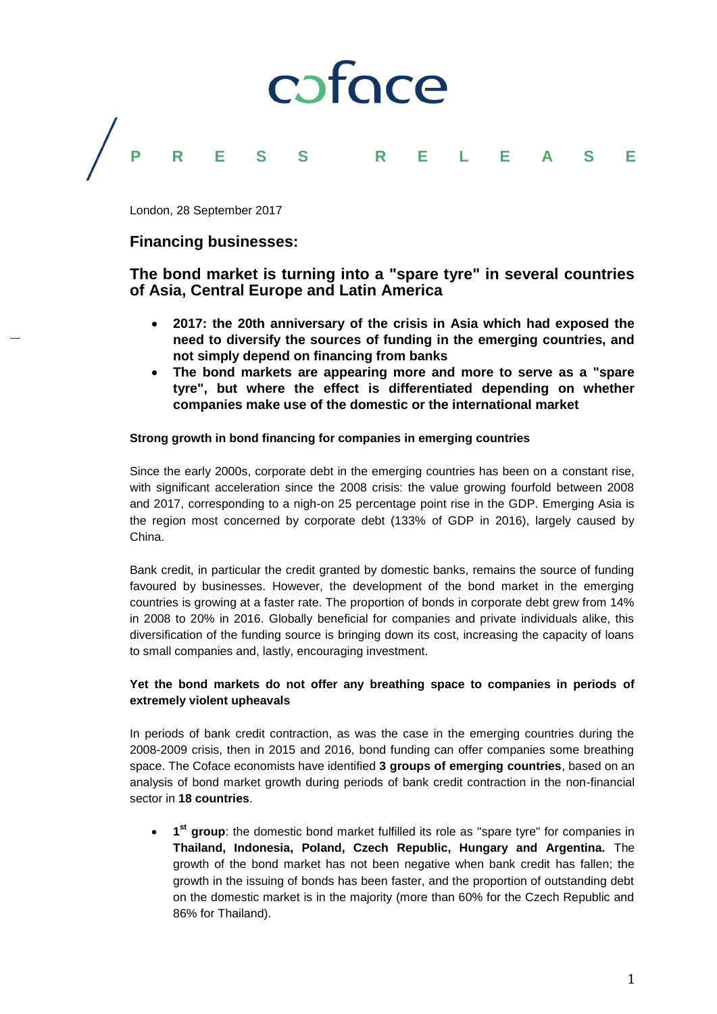

London, 28 September 2017

## **Financing businesses:**

# **The bond market is turning into a "spare tyre" in several countries of Asia, Central Europe and Latin America**

- **2017: the 20th anniversary of the crisis in Asia which had exposed the need to diversify the sources of funding in the emerging countries, and not simply depend on financing from banks**
- **The bond markets are appearing more and more to serve as a "spare tyre", but where the effect is differentiated depending on whether companies make use of the domestic or the international market**

### **Strong growth in bond financing for companies in emerging countries**

Since the early 2000s, corporate debt in the emerging countries has been on a constant rise, with significant acceleration since the 2008 crisis: the value growing fourfold between 2008 and 2017, corresponding to a nigh-on 25 percentage point rise in the GDP. Emerging Asia is the region most concerned by corporate debt (133% of GDP in 2016), largely caused by China.

Bank credit, in particular the credit granted by domestic banks, remains the source of funding favoured by businesses. However, the development of the bond market in the emerging countries is growing at a faster rate. The proportion of bonds in corporate debt grew from 14% in 2008 to 20% in 2016. Globally beneficial for companies and private individuals alike, this diversification of the funding source is bringing down its cost, increasing the capacity of loans to small companies and, lastly, encouraging investment.

## **Yet the bond markets do not offer any breathing space to companies in periods of extremely violent upheavals**

In periods of bank credit contraction, as was the case in the emerging countries during the 2008-2009 crisis, then in 2015 and 2016, bond funding can offer companies some breathing space. The Coface economists have identified **3 groups of emerging countries**, based on an analysis of bond market growth during periods of bank credit contraction in the non-financial sector in **18 countries**.

**1**<sup>st</sup> group: the domestic bond market fulfilled its role as "spare tyre" for companies in **Thailand, Indonesia, Poland, Czech Republic, Hungary and Argentina.** The growth of the bond market has not been negative when bank credit has fallen; the growth in the issuing of bonds has been faster, and the proportion of outstanding debt on the domestic market is in the majority (more than 60% for the Czech Republic and 86% for Thailand).